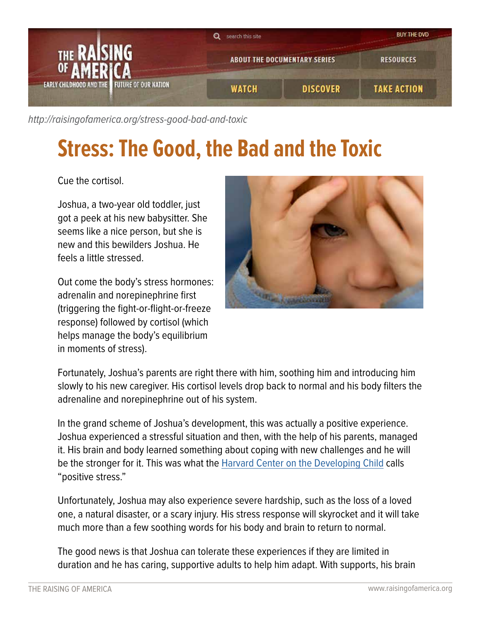

[http://raisingofamerica.org/](http://raisingofamerica.org/stress-good-bad-and-toxic)stress-good-bad-and-toxic

## **Stress: The Good, the Bad and the Toxic**

Cue the cortisol.

Joshua, a two-year old toddler, just got a peek at his new babysitter. She seems like a nice person, but she is new and this bewilders Joshua. He feels a little stressed.

Out come the body's stress hormones: adrenalin and norepinephrine first (triggering the fight-or-flight-or-freeze response) followed by cortisol (which helps manage the body's equilibrium in moments of stress).



Fortunately, Joshua's parents are right there with him, soothing him and introducing him slowly to his new caregiver. His cortisol levels drop back to normal and his body filters the adrenaline and norepinephrine out of his system.

In the grand scheme of Joshua's development, this was actually a positive experience. Joshua experienced a stressful situation and then, with the help of his parents, managed it. His brain and body learned something about coping with new challenges and he will be the stronger for it. This was what the [Harvard Center on the Developing Child](http://developingchild.harvard.edu/index.php/key_concepts/toxic_stress_response/) calls "positive stress."

Unfortunately, Joshua may also experience severe hardship, such as the loss of a loved one, a natural disaster, or a scary injury. His stress response will skyrocket and it will take much more than a few soothing words for his body and brain to return to normal.

The good news is that Joshua can tolerate these experiences if they are limited in duration and he has caring, supportive adults to help him adapt. With supports, his brain